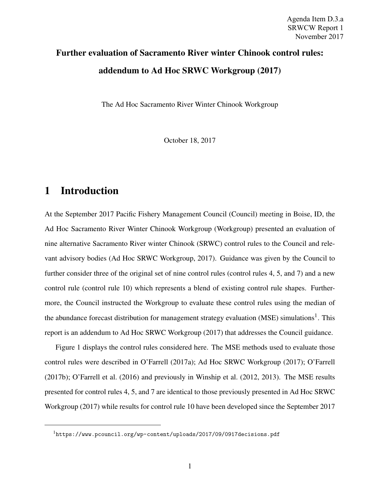# Further evaluation of Sacramento River winter Chinook control rules: addendum to Ad Hoc SRWC Workgroup (2017)

The Ad Hoc Sacramento River Winter Chinook Workgroup

October 18, 2017

#### 1 Introduction

At the September 2017 Pacific Fishery Management Council (Council) meeting in Boise, ID, the Ad Hoc Sacramento River Winter Chinook Workgroup (Workgroup) presented an evaluation of nine alternative Sacramento River winter Chinook (SRWC) control rules to the Council and relevant advisory bodies (Ad Hoc SRWC Workgroup, 2017). Guidance was given by the Council to further consider three of the original set of nine control rules (control rules 4, 5, and 7) and a new control rule (control rule 10) which represents a blend of existing control rule shapes. Furthermore, the Council instructed the Workgroup to evaluate these control rules using the median of the abundance forecast distribution for management strategy evaluation (MSE) simulations<sup>1</sup>. This report is an addendum to Ad Hoc SRWC Workgroup (2017) that addresses the Council guidance.

Figure 1 displays the control rules considered here. The MSE methods used to evaluate those control rules were described in O'Farrell (2017a); Ad Hoc SRWC Workgroup (2017); O'Farrell (2017b); O'Farrell et al. (2016) and previously in Winship et al. (2012, 2013). The MSE results presented for control rules 4, 5, and 7 are identical to those previously presented in Ad Hoc SRWC Workgroup (2017) while results for control rule 10 have been developed since the September 2017

<sup>1</sup>https://www.pcouncil.org/wp-content/uploads/2017/09/0917decisions.pdf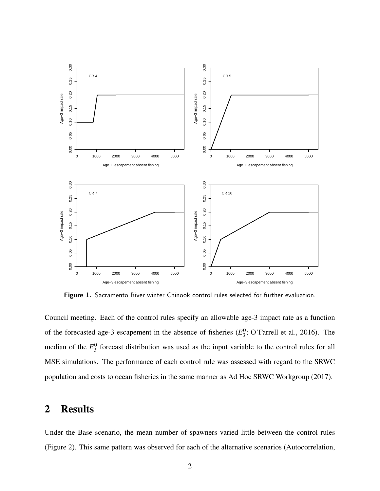

Figure 1. Sacramento River winter Chinook control rules selected for further evaluation.

Council meeting. Each of the control rules specify an allowable age-3 impact rate as a function of the forecasted age-3 escapement in the absence of fisheries  $(E_3^0)$  $\frac{0}{3}$ ; O'Farrell et al., 2016). The median of the  $E_3^0$  $\frac{0}{3}$  forecast distribution was used as the input variable to the control rules for all MSE simulations. The performance of each control rule was assessed with regard to the SRWC population and costs to ocean fisheries in the same manner as Ad Hoc SRWC Workgroup (2017).

### 2 Results

Under the Base scenario, the mean number of spawners varied little between the control rules (Figure 2). This same pattern was observed for each of the alternative scenarios (Autocorrelation,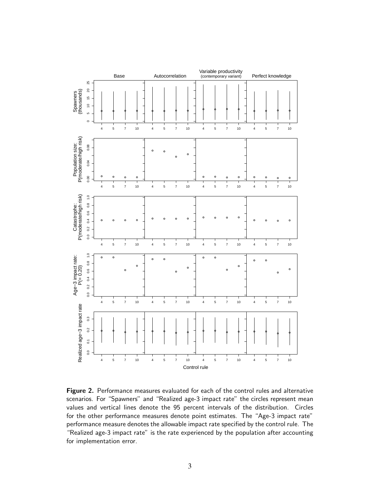

Figure 2. Performance measures evaluated for each of the control rules and alternative scenarios. For "Spawners" and "Realized age-3 impact rate" the circles represent mean values and vertical lines denote the 95 percent intervals of the distribution. Circles for the other performance measures denote point estimates. The "Age-3 impact rate" performance measure denotes the allowable impact rate specified by the control rule. The "Realized age-3 impact rate" is the rate experienced by the population after accounting for implementation error.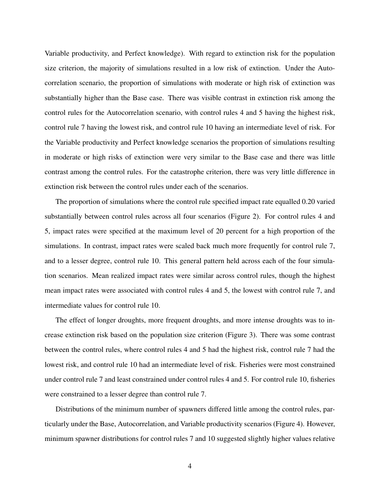Variable productivity, and Perfect knowledge). With regard to extinction risk for the population size criterion, the majority of simulations resulted in a low risk of extinction. Under the Autocorrelation scenario, the proportion of simulations with moderate or high risk of extinction was substantially higher than the Base case. There was visible contrast in extinction risk among the control rules for the Autocorrelation scenario, with control rules 4 and 5 having the highest risk, control rule 7 having the lowest risk, and control rule 10 having an intermediate level of risk. For the Variable productivity and Perfect knowledge scenarios the proportion of simulations resulting in moderate or high risks of extinction were very similar to the Base case and there was little contrast among the control rules. For the catastrophe criterion, there was very little difference in extinction risk between the control rules under each of the scenarios.

The proportion of simulations where the control rule specified impact rate equalled 0.20 varied substantially between control rules across all four scenarios (Figure 2). For control rules 4 and 5, impact rates were specified at the maximum level of 20 percent for a high proportion of the simulations. In contrast, impact rates were scaled back much more frequently for control rule 7, and to a lesser degree, control rule 10. This general pattern held across each of the four simulation scenarios. Mean realized impact rates were similar across control rules, though the highest mean impact rates were associated with control rules 4 and 5, the lowest with control rule 7, and intermediate values for control rule 10.

The effect of longer droughts, more frequent droughts, and more intense droughts was to increase extinction risk based on the population size criterion (Figure 3). There was some contrast between the control rules, where control rules 4 and 5 had the highest risk, control rule 7 had the lowest risk, and control rule 10 had an intermediate level of risk. Fisheries were most constrained under control rule 7 and least constrained under control rules 4 and 5. For control rule 10, fisheries were constrained to a lesser degree than control rule 7.

Distributions of the minimum number of spawners differed little among the control rules, particularly under the Base, Autocorrelation, and Variable productivity scenarios (Figure 4). However, minimum spawner distributions for control rules 7 and 10 suggested slightly higher values relative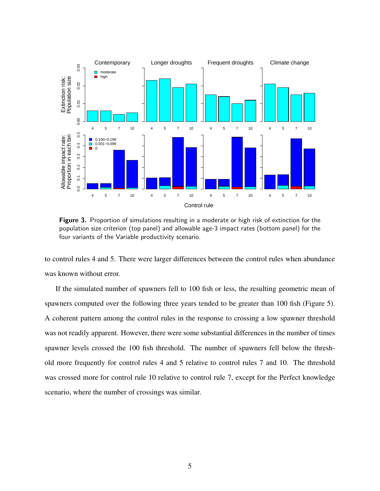

Figure 3. Proportion of simulations resulting in a moderate or high risk of extinction for the population size criterion (top panel) and allowable age-3 impact rates (bottom panel) for the four variants of the Variable productivity scenario.

to control rules 4 and 5. There were larger differences between the control rules when abundance was known without error.

If the simulated number of spawners fell to 100 fish or less, the resulting geometric mean of spawners computed over the following three years tended to be greater than 100 fish (Figure 5). A coherent pattern among the control rules in the response to crossing a low spawner threshold was not readily apparent. However, there were some substantial differences in the number of times spawner levels crossed the 100 fish threshold. The number of spawners fell below the threshold more frequently for control rules 4 and 5 relative to control rules 7 and 10. The threshold was crossed more for control rule 10 relative to control rule 7, except for the Perfect knowledge scenario, where the number of crossings was similar.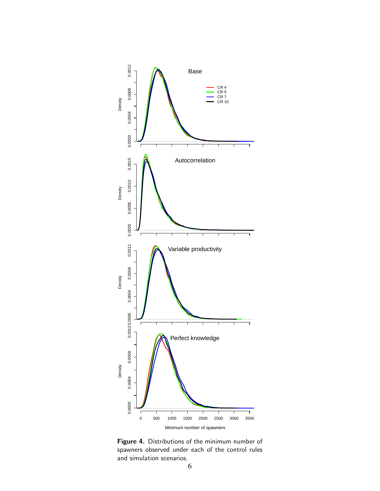

Figure 4. Distributions of the minimum number of spawners observed under each of the control rules and simulation scenarios.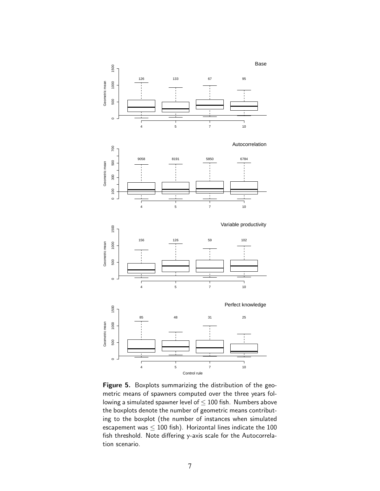

Figure 5. Boxplots summarizing the distribution of the geometric means of spawners computed over the three years following a simulated spawner level of  $\leq$  100 fish. Numbers above the boxplots denote the number of geometric means contributing to the boxplot (the number of instances when simulated escapement was  $\leq 100$  fish). Horizontal lines indicate the 100 fish threshold. Note differing y-axis scale for the Autocorrelation scenario.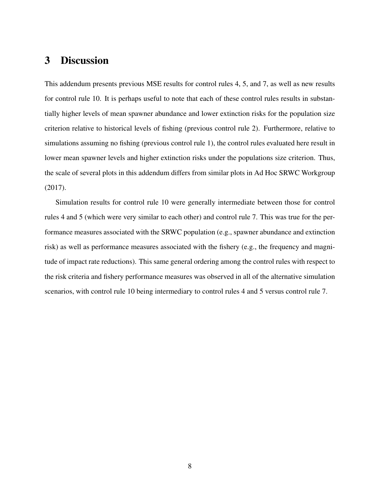## 3 Discussion

This addendum presents previous MSE results for control rules 4, 5, and 7, as well as new results for control rule 10. It is perhaps useful to note that each of these control rules results in substantially higher levels of mean spawner abundance and lower extinction risks for the population size criterion relative to historical levels of fishing (previous control rule 2). Furthermore, relative to simulations assuming no fishing (previous control rule 1), the control rules evaluated here result in lower mean spawner levels and higher extinction risks under the populations size criterion. Thus, the scale of several plots in this addendum differs from similar plots in Ad Hoc SRWC Workgroup (2017).

Simulation results for control rule 10 were generally intermediate between those for control rules 4 and 5 (which were very similar to each other) and control rule 7. This was true for the performance measures associated with the SRWC population (e.g., spawner abundance and extinction risk) as well as performance measures associated with the fishery (e.g., the frequency and magnitude of impact rate reductions). This same general ordering among the control rules with respect to the risk criteria and fishery performance measures was observed in all of the alternative simulation scenarios, with control rule 10 being intermediary to control rules 4 and 5 versus control rule 7.